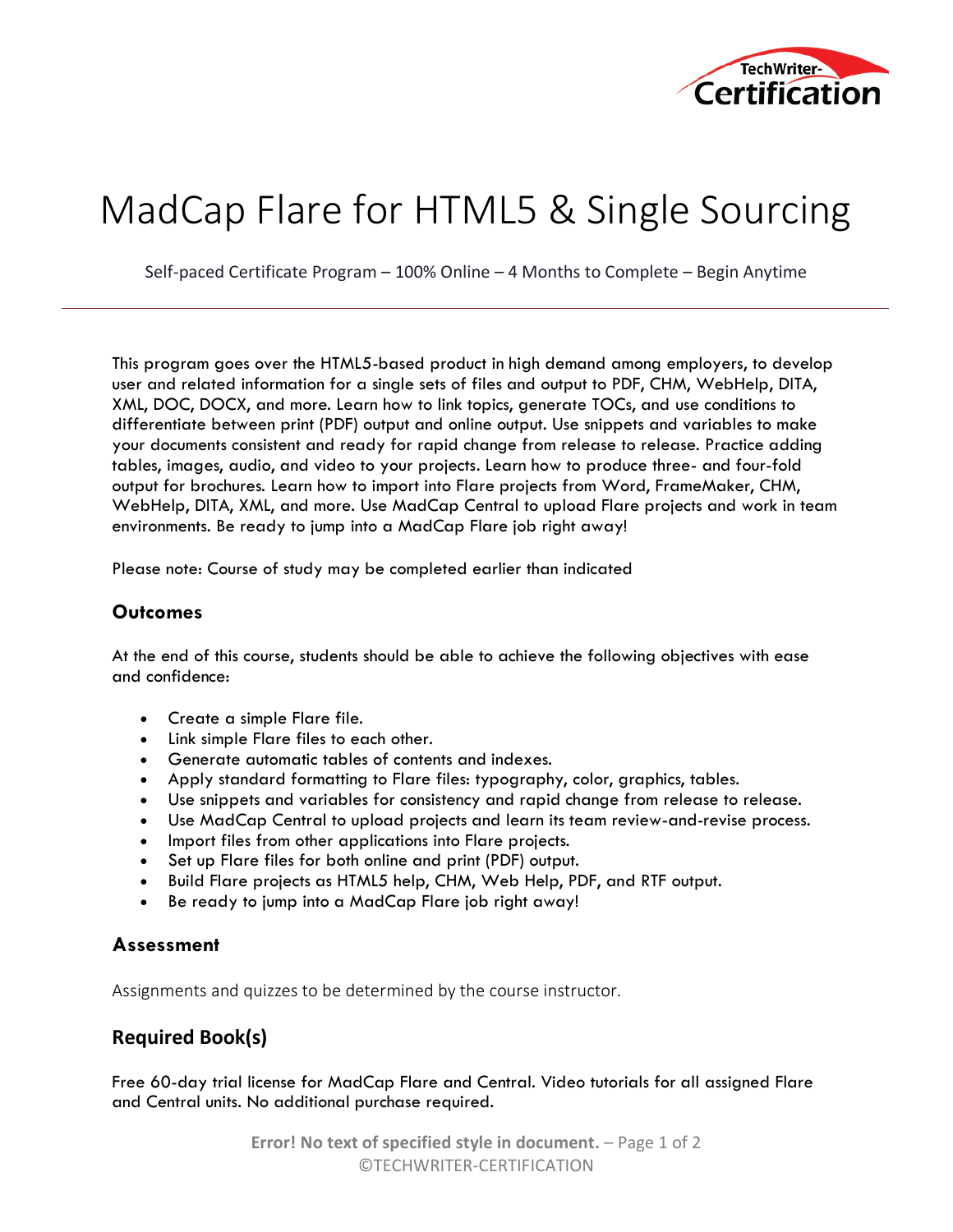

# MadCap Flare for HTML5 & Single Sourcing

Self-paced Certificate Program – 100% Online – 4 Months to Complete – Begin Anytime

This program goes over the HTML5-based product in high demand among employers, to develop user and related information for a single sets of files and output to PDF, CHM, WebHelp, DITA, XML, DOC, DOCX, and more. Learn how to link topics, generate TOCs, and use conditions to differentiate between print (PDF) output and online output. Use snippets and variables to make your documents consistent and ready for rapid change from release to release. Practice adding tables, images, audio, and video to your projects. Learn how to produce three- and four-fold output for brochures. Learn how to import into Flare projects from Word, FrameMaker, CHM, WebHelp, DITA, XML, and more. Use MadCap Central to upload Flare projects and work in team environments. Be ready to jump into a MadCap Flare job right away!

Please note: Course of study may be completed earlier than indicated

#### **Outcomes**

At the end of this course, students should be able to achieve the following objectives with ease and confidence:

- Create a simple Flare file.
- Link simple Flare files to each other.
- Generate automatic tables of contents and indexes.
- Apply standard formatting to Flare files: typography, color, graphics, tables.
- Use snippets and variables for consistency and rapid change from release to release.
- Use MadCap Central to upload projects and learn its team review-and-revise process.
- Import files from other applications into Flare projects.
- Set up Flare files for both online and print (PDF) output.
- Build Flare projects as HTML5 help, CHM, Web Help, PDF, and RTF output.
- Be ready to jump into a MadCap Flare job right away!

#### **Assessment**

Assignments and quizzes to be determined by the course instructor.

### **Required Book(s)**

Free 60-day trial license for MadCap Flare and Central. Video tutorials for all assigned Flare and Central units. No additional purchase required.